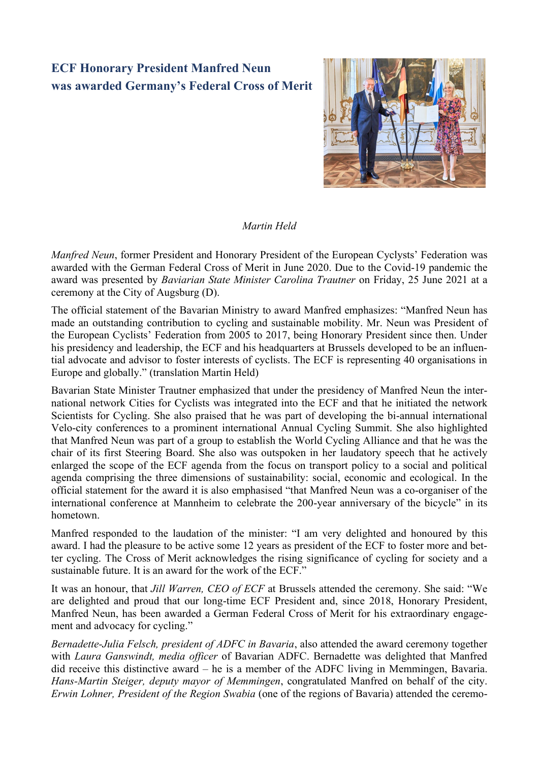## **ECF Honorary President Manfred Neun was awarded Germany's Federal Cross of Merit**



## *Martin Held*

*Manfred Neun*, former President and Honorary President of the European Cyclysts' Federation was awarded with the German Federal Cross of Merit in June 2020. Due to the Covid-19 pandemic the award was presented by *Baviarian State Minister Carolina Trautner* on Friday, 25 June 2021 at a ceremony at the City of Augsburg (D).

The official statement of the Bavarian Ministry to award Manfred emphasizes: "Manfred Neun has made an outstanding contribution to cycling and sustainable mobility. Mr. Neun was President of the European Cyclists' Federation from 2005 to 2017, being Honorary President since then. Under his presidency and leadership, the ECF and his headquarters at Brussels developed to be an influential advocate and advisor to foster interests of cyclists. The ECF is representing 40 organisations in Europe and globally." (translation Martin Held)

Bavarian State Minister Trautner emphasized that under the presidency of Manfred Neun the international network Cities for Cyclists was integrated into the ECF and that he initiated the network Scientists for Cycling. She also praised that he was part of developing the bi-annual international Velo-city conferences to a prominent international Annual Cycling Summit. She also highlighted that Manfred Neun was part of a group to establish the World Cycling Alliance and that he was the chair of its first Steering Board. She also was outspoken in her laudatory speech that he actively enlarged the scope of the ECF agenda from the focus on transport policy to a social and political agenda comprising the three dimensions of sustainability: social, economic and ecological. In the official statement for the award it is also emphasised "that Manfred Neun was a co-organiser of the international conference at Mannheim to celebrate the 200-year anniversary of the bicycle" in its hometown.

Manfred responded to the laudation of the minister: "I am very delighted and honoured by this award. I had the pleasure to be active some 12 years as president of the ECF to foster more and better cycling. The Cross of Merit acknowledges the rising significance of cycling for society and a sustainable future. It is an award for the work of the ECF."

It was an honour, that *Jill Warren, CEO of ECF* at Brussels attended the ceremony. She said: "We are delighted and proud that our long-time ECF President and, since 2018, Honorary President, Manfred Neun, has been awarded a German Federal Cross of Merit for his extraordinary engagement and advocacy for cycling."

*Bernadette-Julia Felsch, president of ADFC in Bavaria*, also attended the award ceremony together with *Laura Ganswindt, media officer* of Bavarian ADFC. Bernadette was delighted that Manfred did receive this distinctive award – he is a member of the ADFC living in Memmingen, Bavaria. *Hans-Martin Steiger, deputy mayor of Memmingen*, congratulated Manfred on behalf of the city. *Erwin Lohner, President of the Region Swabia* (one of the regions of Bavaria) attended the ceremo